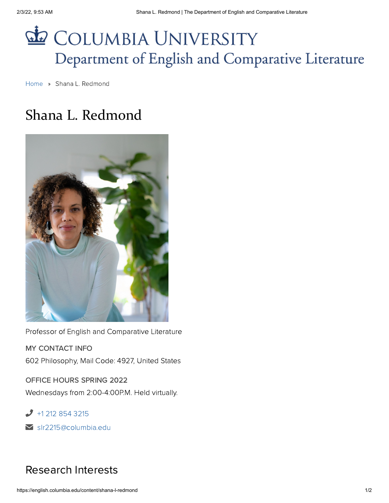## COLUMBIA UNIVERSITY Department of English and Comparative Literature

[Home](https://english.columbia.edu/) » Shana L. Redmond

## Shana L. Redmond



Professor of English and Comparative Literature

MY CONTACT INFO 602 Philosophy, Mail Code: 4927, United States

OFFICE HOURS SPRING 2022 Wednesdays from 2:00-4:00P.M. Held virtually.

 $\bigcup$  +1 212 854 [3215](tel:%2B12128543215)

[slr2215@columbia.edu](mailto:slr2215@columbia.edu) ✉

## Research Interests